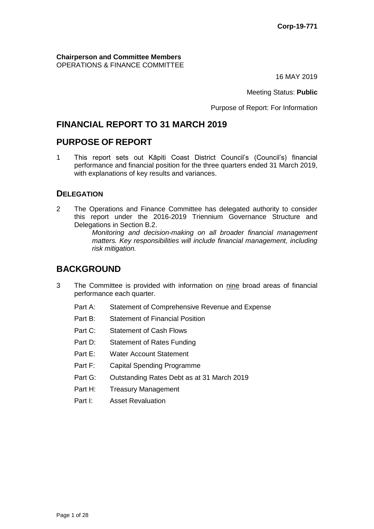**Chairperson and Committee Members** OPERATIONS & FINANCE COMMITTEE

16 MAY 2019

Meeting Status: **Public**

Purpose of Report: For Information

# **FINANCIAL REPORT TO 31 MARCH 2019**

# **PURPOSE OF REPORT**

1 This report sets out Kāpiti Coast District Council's (Council's) financial performance and financial position for the three quarters ended 31 March 2019, with explanations of key results and variances.

## **DELEGATION**

2 The Operations and Finance Committee has delegated authority to consider this report under the 2016-2019 Triennium Governance Structure and Delegations in Section B.2.

> *Monitoring and decision-making on all broader financial management matters. Key responsibilities will include financial management, including risk mitigation.*

# **BACKGROUND**

- 3 The Committee is provided with information on nine broad areas of financial performance each quarter.
	- Part A: Statement of Comprehensive Revenue and Expense
	- Part B: Statement of Financial Position
	- Part C: Statement of Cash Flows
	- Part D: Statement of Rates Funding
	- Part E: Water Account Statement
	- Part F: Capital Spending Programme
	- Part G: Outstanding Rates Debt as at 31 March 2019
	- Part H: Treasury Management
	- Part I: Asset Revaluation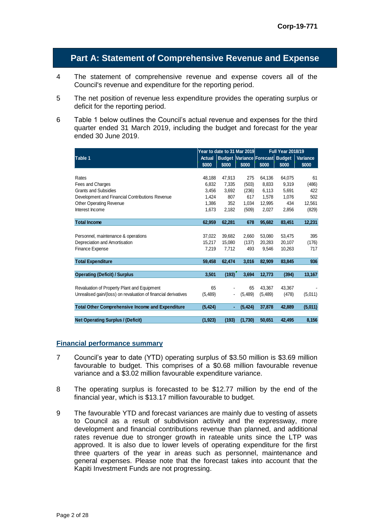## **Part A: Statement of Comprehensive Revenue and Expense**

- 4 The statement of comprehensive revenue and expense covers all of the Council's revenue and expenditure for the reporting period.
- 5 The net position of revenue less expenditure provides the operating surplus or deficit for the reporting period.
- 6 Table 1 below outlines the Council's actual revenue and expenses for the third quarter ended 31 March 2019, including the budget and forecast for the year ended 30 June 2019.

|                                                                |               | Year to date to 31 Mar 2019 |                                 | <b>Full Year 2018/19</b> |        |          |
|----------------------------------------------------------------|---------------|-----------------------------|---------------------------------|--------------------------|--------|----------|
| Table 1                                                        | <b>Actual</b> |                             | Budget Variance Forecast Budget |                          |        | Variance |
|                                                                | \$000         | \$000                       | \$000                           | \$000                    | \$000  | \$000    |
|                                                                |               |                             |                                 |                          |        |          |
| Rates                                                          | 48,188        | 47,913                      | 275                             | 64,136                   | 64,075 | 61       |
| Fees and Charges                                               | 6,832         | 7,335                       | (503)                           | 8,833                    | 9,319  | (486)    |
| <b>Grants and Subsidies</b>                                    | 3.456         | 3.692                       | (236)                           | 6,113                    | 5.691  | 422      |
| Development and Financial Contributions Revenue                | 1,424         | 807                         | 617                             | 1.578                    | 1,076  | 502      |
| <b>Other Operating Revenue</b>                                 | 1.386         | 352                         | 1.034                           | 12,995                   | 434    | 12.561   |
| Interest Income                                                | 1,673         | 2,182                       | (509)                           | 2,027                    | 2,856  | (829)    |
|                                                                |               |                             |                                 |                          |        |          |
| <b>Total Income</b>                                            | 62,959        | 62,281                      | 678                             | 95,682                   | 83,451 | 12,231   |
|                                                                |               |                             |                                 |                          |        |          |
| Personnel, maintenance & operations                            | 37,022        | 39,682                      | 2,660                           | 53,080                   | 53,475 | 395      |
| Depreciation and Amortisation                                  | 15,217        | 15,080                      | (137)                           | 20,283                   | 20,107 | (176)    |
| <b>Finance Expense</b>                                         | 7,219         | 7.712                       | 493                             | 9,546                    | 10,263 | 717      |
|                                                                |               |                             |                                 |                          |        |          |
| <b>Total Expenditure</b>                                       | 59,458        | 62,474                      | 3,016                           | 82,909                   | 83,845 | 936      |
|                                                                |               |                             |                                 |                          |        |          |
| <b>Operating (Deficit) / Surplus</b>                           | 3,501         | (193)                       | 3,694                           | 12,773                   | (394)  | 13,167   |
|                                                                |               |                             |                                 |                          |        |          |
| Revaluation of Property Plant and Equipment                    | 65            |                             | 65                              | 43.367                   | 43,367 |          |
| Unrealised gain/(loss) on revaluation of financial derivatives | (5,489)       |                             | (5,489)                         | (5,489)                  | (478)  | (5,011)  |
|                                                                |               |                             |                                 |                          |        |          |
| <b>Total Other Comprehensive Income and Expenditure</b>        | (5, 424)      | ٠                           | (5, 424)                        | 37,878                   | 42,889 | (5,011)  |
|                                                                |               |                             |                                 |                          |        |          |
| <b>Net Operating Surplus / (Deficit)</b>                       | (1, 923)      | (193)                       | (1,730)                         | 50,651                   | 42,495 | 8,156    |

#### **Financial performance summary**

- 7 Council's year to date (YTD) operating surplus of \$3.50 million is \$3.69 million favourable to budget. This comprises of a \$0.68 million favourable revenue variance and a \$3.02 million favourable expenditure variance.
- 8 The operating surplus is forecasted to be \$12.77 million by the end of the financial year, which is \$13.17 million favourable to budget.
- 9 The favourable YTD and forecast variances are mainly due to vesting of assets to Council as a result of subdivision activity and the expressway, more development and financial contributions revenue than planned, and additional rates revenue due to stronger growth in rateable units since the LTP was approved. It is also due to lower levels of operating expenditure for the first three quarters of the year in areas such as personnel, maintenance and general expenses. Please note that the forecast takes into account that the Kapiti Investment Funds are not progressing.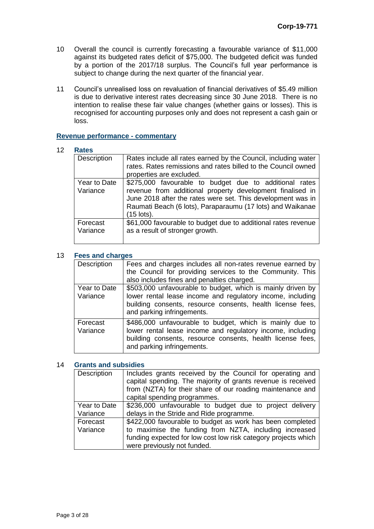- 10 Overall the council is currently forecasting a favourable variance of \$11,000 against its budgeted rates deficit of \$75,000. The budgeted deficit was funded by a portion of the 2017/18 surplus. The Council's full year performance is subject to change during the next quarter of the financial year.
- 11 Council's unrealised loss on revaluation of financial derivatives of \$5.49 million is due to derivative interest rates decreasing since 30 June 2018. There is no intention to realise these fair value changes (whether gains or losses). This is recognised for accounting purposes only and does not represent a cash gain or loss.

#### **Revenue performance - commentary**

#### 12 **Rates**

| Description              | Rates include all rates earned by the Council, including water<br>rates. Rates remissions and rates billed to the Council owned<br>properties are excluded.                                                                                                    |
|--------------------------|----------------------------------------------------------------------------------------------------------------------------------------------------------------------------------------------------------------------------------------------------------------|
| Year to Date<br>Variance | \$275,000 favourable to budget due to additional rates<br>revenue from additional property development finalised in<br>June 2018 after the rates were set. This development was in<br>Raumati Beach (6 lots), Paraparaumu (17 lots) and Waikanae<br>(15 lots). |
| Forecast<br>Variance     | \$61,000 favourable to budget due to additional rates revenue<br>as a result of stronger growth.                                                                                                                                                               |

#### 13 **Fees and charges**

| Description              | Fees and charges includes all non-rates revenue earned by<br>the Council for providing services to the Community. This<br>also includes fines and penalties charged.                                                  |
|--------------------------|-----------------------------------------------------------------------------------------------------------------------------------------------------------------------------------------------------------------------|
| Year to Date<br>Variance | \$503,000 unfavourable to budget, which is mainly driven by<br>lower rental lease income and regulatory income, including<br>building consents, resource consents, health license fees,<br>and parking infringements. |
| Forecast<br>Variance     | \$486,000 unfavourable to budget, which is mainly due to<br>lower rental lease income and regulatory income, including<br>building consents, resource consents, health license fees,<br>and parking infringements.    |

#### 14 **Grants and subsidies**

| Description              | Includes grants received by the Council for operating and<br>capital spending. The majority of grants revenue is received<br>from (NZTA) for their share of our roading maintenance and<br>capital spending programmes. |
|--------------------------|-------------------------------------------------------------------------------------------------------------------------------------------------------------------------------------------------------------------------|
| Year to Date<br>Variance | \$236,000 unfavourable to budget due to project delivery<br>delays in the Stride and Ride programme.                                                                                                                    |
| Forecast<br>Variance     | \$422,000 favourable to budget as work has been completed<br>to maximise the funding from NZTA, including increased<br>funding expected for low cost low risk category projects which<br>were previously not funded.    |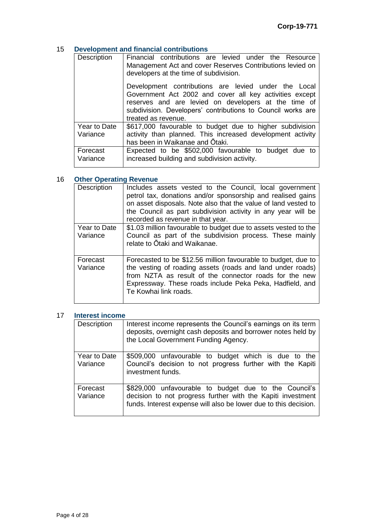## 15 **Development and financial contributions**

| Description  | Financial contributions are levied under the Resource<br>Management Act and cover Reserves Contributions levied on<br>developers at the time of subdivision.                                                                                                  |  |  |  |  |  |
|--------------|---------------------------------------------------------------------------------------------------------------------------------------------------------------------------------------------------------------------------------------------------------------|--|--|--|--|--|
|              | Development contributions are levied under the Local<br>Government Act 2002 and cover all key activities except<br>reserves and are levied on developers at the time of<br>subdivision. Developers' contributions to Council works are<br>treated as revenue. |  |  |  |  |  |
| Year to Date | \$617,000 favourable to budget due to higher subdivision                                                                                                                                                                                                      |  |  |  |  |  |
| Variance     | activity than planned. This increased development activity                                                                                                                                                                                                    |  |  |  |  |  |
|              | has been in Waikanae and Otaki.                                                                                                                                                                                                                               |  |  |  |  |  |
| Forecast     | Expected to be \$502,000 favourable to budget due to                                                                                                                                                                                                          |  |  |  |  |  |
| Variance     | increased building and subdivision activity.                                                                                                                                                                                                                  |  |  |  |  |  |
|              |                                                                                                                                                                                                                                                               |  |  |  |  |  |

## 16 **Other Operating Revenue**

| Description              | Includes assets vested to the Council, local government<br>petrol tax, donations and/or sponsorship and realised gains<br>on asset disposals. Note also that the value of land vested to<br>the Council as part subdivision activity in any year will be<br>recorded as revenue in that year. |
|--------------------------|-----------------------------------------------------------------------------------------------------------------------------------------------------------------------------------------------------------------------------------------------------------------------------------------------|
| Year to Date<br>Variance | \$1.03 million favourable to budget due to assets vested to the<br>Council as part of the subdivision process. These mainly<br>relate to Otaki and Waikanae.                                                                                                                                  |
| Forecast<br>Variance     | Forecasted to be \$12.56 million favourable to budget, due to<br>the vesting of roading assets (roads and land under roads)<br>from NZTA as result of the connector roads for the new<br>Expressway. These roads include Peka Peka, Hadfield, and<br>Te Kowhai link roads.                    |

#### 17 **Interest income**

| Description              | Interest income represents the Council's earnings on its term<br>deposits, overnight cash deposits and borrower notes held by<br>the Local Government Funding Agency.                    |
|--------------------------|------------------------------------------------------------------------------------------------------------------------------------------------------------------------------------------|
| Year to Date<br>Variance | \$509,000 unfavourable to budget which is due to the<br>Council's decision to not progress further with the Kapiti<br>investment funds.                                                  |
| Forecast<br>Variance     | \$829,000 unfavourable to budget due to the Council's<br>decision to not progress further with the Kapiti investment<br>funds. Interest expense will also be lower due to this decision. |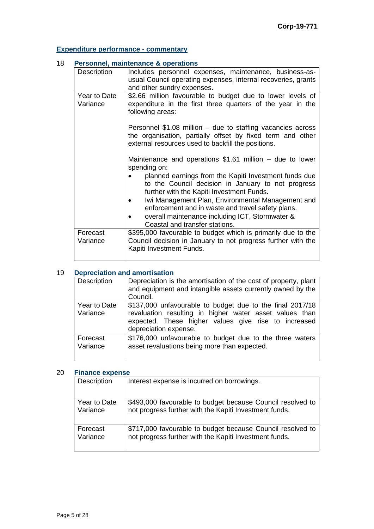## **Expenditure performance - commentary**

#### 18 **Personnel, maintenance & operations** Description | Includes personnel expenses, maintenance, business-asusual Council operating expenses, internal recoveries, grants and other sundry expenses. Year to Date Variance \$2.66 million favourable to budget due to lower levels of expenditure in the first three quarters of the year in the following areas: Personnel \$1.08 million – due to staffing vacancies across the organisation, partially offset by fixed term and other external resources used to backfill the positions. Maintenance and operations \$1.61 million – due to lower spending on: planned earnings from the Kapiti Investment funds due to the Council decision in January to not progress further with the Kapiti Investment Funds. Iwi Management Plan, Environmental Management and enforcement and in waste and travel safety plans. overall maintenance including ICT, Stormwater & Coastal and transfer stations. **Forecast** Variance \$395,000 favourable to budget which is primarily due to the Council decision in January to not progress further with the Kapiti Investment Funds.

## 19 **Depreciation and amortisation**

| Description              | Depreciation is the amortisation of the cost of property, plant<br>and equipment and intangible assets currently owned by the<br>Council.                                                             |
|--------------------------|-------------------------------------------------------------------------------------------------------------------------------------------------------------------------------------------------------|
| Year to Date<br>Variance | \$137,000 unfavourable to budget due to the final 2017/18<br>revaluation resulting in higher water asset values than<br>expected. These higher values give rise to increased<br>depreciation expense. |
| Forecast<br>Variance     | \$176,000 unfavourable to budget due to the three waters<br>asset revaluations being more than expected.                                                                                              |

#### 20 **Finance expense**

| Description  | Interest expense is incurred on borrowings.                |
|--------------|------------------------------------------------------------|
| Year to Date | \$493,000 favourable to budget because Council resolved to |
| Variance     | not progress further with the Kapiti Investment funds.     |
| Forecast     | \$717,000 favourable to budget because Council resolved to |
| Variance     | not progress further with the Kapiti Investment funds.     |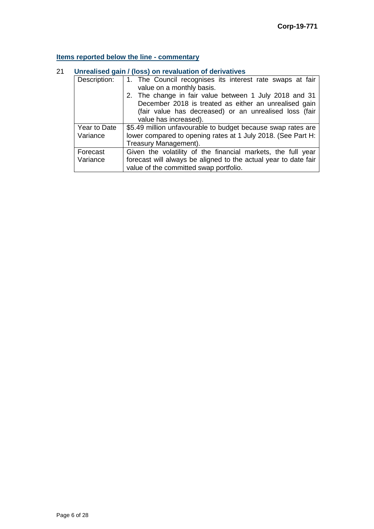## **Items reported below the line - commentary**

# 21 **Unrealised gain / (loss) on revaluation of derivatives**

| Description: | 1. The Council recognises its interest rate swaps at fair<br>value on a monthly basis. |  |  |  |  |  |
|--------------|----------------------------------------------------------------------------------------|--|--|--|--|--|
|              | 2. The change in fair value between 1 July 2018 and 31                                 |  |  |  |  |  |
|              | December 2018 is treated as either an unrealised gain                                  |  |  |  |  |  |
|              | (fair value has decreased) or an unrealised loss (fair                                 |  |  |  |  |  |
|              | value has increased).                                                                  |  |  |  |  |  |
| Year to Date | \$5.49 million unfavourable to budget because swap rates are                           |  |  |  |  |  |
| Variance     | lower compared to opening rates at 1 July 2018. (See Part H:                           |  |  |  |  |  |
|              | Treasury Management).                                                                  |  |  |  |  |  |
| Forecast     | Given the volatility of the financial markets, the full year                           |  |  |  |  |  |
| Variance     | forecast will always be aligned to the actual year to date fair                        |  |  |  |  |  |
|              | value of the committed swap portfolio.                                                 |  |  |  |  |  |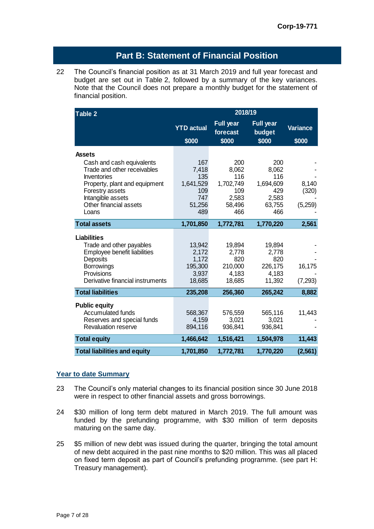## **Part B: Statement of Financial Position**

22 The Council's financial position as at 31 March 2019 and full year forecast and budget are set out in Table 2, followed by a summary of the key variances. Note that the Council does not prepare a monthly budget for the statement of financial position.

| Table 2                                          | 2018/19           |                              |                            |                 |
|--------------------------------------------------|-------------------|------------------------------|----------------------------|-----------------|
|                                                  | <b>YTD</b> actual | <b>Full year</b><br>forecast | <b>Full year</b><br>budget | <b>Variance</b> |
|                                                  | \$000             | \$000                        | \$000                      | \$000           |
| <b>Assets</b>                                    |                   |                              |                            |                 |
| Cash and cash equivalents                        | 167               | 200                          | 200                        |                 |
| Trade and other receivables                      | 7,418             | 8,062                        | 8,062                      |                 |
| Inventories                                      | 135               | 116                          | 116                        |                 |
| Property, plant and equipment<br>Forestry assets | 1,641,529<br>109  | 1,702,749<br>109             | 1,694,609<br>429           | 8,140<br>(320)  |
| Intangible assets                                | 747               | 2,583                        | 2,583                      |                 |
| Other financial assets                           | 51,256            | 58,496                       | 63,755                     | (5,259)         |
| Loans                                            | 489               | 466                          | 466                        |                 |
| <b>Total assets</b>                              | 1,701,850         | 1,772,781                    | 1,770,220                  | 2,561           |
| <b>Liabilities</b>                               |                   |                              |                            |                 |
| Trade and other payables                         | 13,942            | 19,894                       | 19,894                     |                 |
| Employee benefit liabilities                     | 2,172             | 2,778                        | 2,778                      |                 |
| Deposits                                         | 1,172             | 820                          | 820                        |                 |
| <b>Borrowings</b>                                | 195,300           | 210,000                      | 226,175                    | 16,175          |
| Provisions                                       | 3,937             | 4,183                        | 4,183                      |                 |
| Derivative financial instruments                 | 18,685            | 18,685                       | 11,392                     | (7, 293)        |
| <b>Total liabilities</b>                         | 235,208           | 256,360                      | 265,242                    | 8,882           |
| <b>Public equity</b>                             |                   |                              |                            |                 |
| <b>Accumulated funds</b>                         | 568,367           | 576,559                      | 565,116                    | 11,443          |
| Reserves and special funds                       | 4,159             | 3,021                        | 3,021                      |                 |
| <b>Revaluation reserve</b>                       | 894,116           | 936,841                      | 936,841                    |                 |
| <b>Total equity</b>                              | 1,466,642         | 1,516,421                    | 1,504,978                  | 11,443          |
| <b>Total liabilities and equity</b>              | 1,701,850         | 1,772,781                    | 1,770,220                  | (2, 561)        |

#### **Year to date Summary**

- 23 The Council's only material changes to its financial position since 30 June 2018 were in respect to other financial assets and gross borrowings.
- 24 \$30 million of long term debt matured in March 2019. The full amount was funded by the prefunding programme, with \$30 million of term deposits maturing on the same day.
- 25 \$5 million of new debt was issued during the quarter, bringing the total amount of new debt acquired in the past nine months to \$20 million. This was all placed on fixed term deposit as part of Council's prefunding programme. (see part H: Treasury management).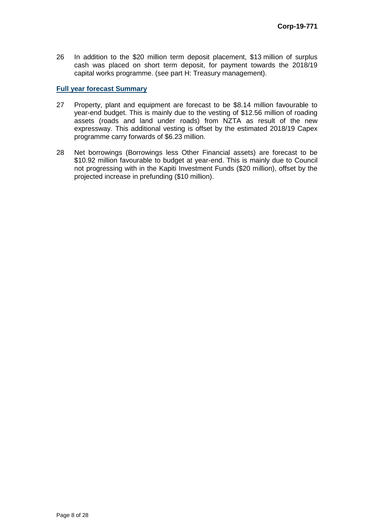26 In addition to the \$20 million term deposit placement, \$13 million of surplus cash was placed on short term deposit, for payment towards the 2018/19 capital works programme. (see part H: Treasury management).

#### **Full year forecast Summary**

- 27 Property, plant and equipment are forecast to be \$8.14 million favourable to year-end budget. This is mainly due to the vesting of \$12.56 million of roading assets (roads and land under roads) from NZTA as result of the new expressway. This additional vesting is offset by the estimated 2018/19 Capex programme carry forwards of \$6.23 million.
- 28 Net borrowings (Borrowings less Other Financial assets) are forecast to be \$10.92 million favourable to budget at year-end. This is mainly due to Council not progressing with in the Kapiti Investment Funds (\$20 million), offset by the projected increase in prefunding (\$10 million).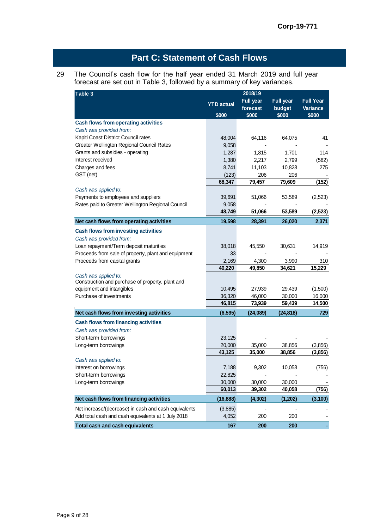# **Part C: Statement of Cash Flows**

#### 29 The Council's cash flow for the half year ended 31 March 2019 and full year forecast are set out in Table 3, followed by a summary of key variances.

| Table 3                                                         | 2018/19           |                  |                  |                  |
|-----------------------------------------------------------------|-------------------|------------------|------------------|------------------|
|                                                                 | <b>YTD</b> actual | <b>Full year</b> | <b>Full year</b> | <b>Full Year</b> |
|                                                                 |                   | forecast         | budget           | Variance         |
|                                                                 | \$000             | \$000            | \$000            | \$000            |
| Cash flows from operating activities<br>Cash was provided from: |                   |                  |                  |                  |
| Kapiti Coast District Council rates                             |                   |                  |                  | 41               |
| Greater Wellington Regional Council Rates                       | 48,004<br>9,058   | 64,116           | 64,075           |                  |
| Grants and subsidies - operating                                | 1,287             | 1,815            | 1,701            | 114              |
| Interest received                                               | 1,380             | 2,217            | 2,799            | (582)            |
| Charges and fees                                                | 8,741             | 11,103           | 10,828           | 275              |
| GST (net)                                                       | (123)             | 206              | 206              |                  |
|                                                                 | 68,347            | 79,457           | 79,609           | (152)            |
| Cash was applied to:                                            |                   |                  |                  |                  |
| Payments to employees and suppliers                             | 39,691            | 51,066           | 53,589           | (2,523)          |
| Rates paid to Greater Wellington Regional Council               | 9,058             |                  |                  |                  |
|                                                                 | 48,749            | 51,066           | 53,589           | (2, 523)         |
| Net cash flows from operating activities                        | 19,598            | 28,391           | 26,020           | 2,371            |
| <b>Cash flows from investing activities</b>                     |                   |                  |                  |                  |
| Cash was provided from:                                         |                   |                  |                  |                  |
| Loan repayment/Term deposit maturities                          | 38,018            | 45,550           | 30,631           | 14,919           |
| Proceeds from sale of property, plant and equipment             | 33                |                  |                  |                  |
| Proceeds from capital grants                                    | 2,169             | 4,300            | 3,990            | 310              |
|                                                                 | 40,220            | 49,850           | 34,621           | 15,229           |
| Cash was applied to:                                            |                   |                  |                  |                  |
| Construction and purchase of property, plant and                |                   |                  |                  |                  |
| equipment and intangibles                                       | 10,495            | 27,939           | 29,439           | (1,500)          |
| Purchase of investments                                         | 36,320            | 46,000           | 30,000           | 16,000           |
|                                                                 | 46,815            | 73,939           | 59,439           | 14,500           |
| Net cash flows from investing activities                        | (6, 595)          | (24,089)         | (24, 818)        | 729              |
| <b>Cash flows from financing activities</b>                     |                   |                  |                  |                  |
| Cash was provided from:                                         |                   |                  |                  |                  |
| Short-term borrowings                                           | 23,125            |                  |                  |                  |
| Long-term borrowings                                            | 20,000            | 35,000           | 38,856           | (3,856)          |
|                                                                 | 43,125            | 35,000           | 38,856           | (3,856)          |
| Cash was applied to:                                            |                   |                  |                  |                  |
| Interest on borrowings                                          | 7,188             | 9,302            | 10,058           | (756)            |
| Short-term borrowings                                           | 22,825            |                  |                  |                  |
| Long-term borrowings                                            | 30,000            | 30,000           | 30,000           |                  |
|                                                                 | 60,013            | 39,302           | 40,058           | (756)            |
| Net cash flows from financing activities                        | (16, 888)         | (4, 302)         | (1,202)          | (3, 100)         |
| Net increase/(decrease) in cash and cash equivalents            | (3,885)           |                  |                  |                  |
| Add total cash and cash equivalents at 1 July 2018              | 4,052             | 200              | 200              |                  |
| Total cash and cash equivalents                                 | 167               | 200              | 200              |                  |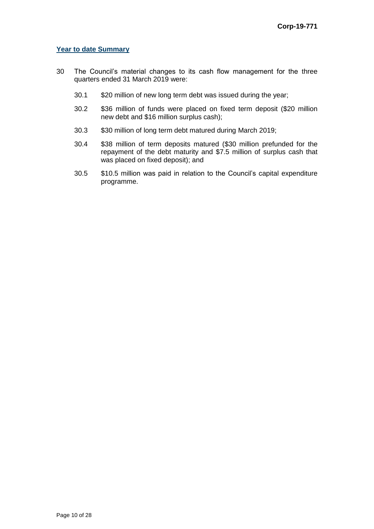#### **Year to date Summary**

- 30 The Council's material changes to its cash flow management for the three quarters ended 31 March 2019 were:
	- 30.1 \$20 million of new long term debt was issued during the year;
	- 30.2 \$36 million of funds were placed on fixed term deposit (\$20 million new debt and \$16 million surplus cash);
	- 30.3 \$30 million of long term debt matured during March 2019;
	- 30.4 \$38 million of term deposits matured (\$30 million prefunded for the repayment of the debt maturity and \$7.5 million of surplus cash that was placed on fixed deposit); and
	- 30.5 \$10.5 million was paid in relation to the Council's capital expenditure programme.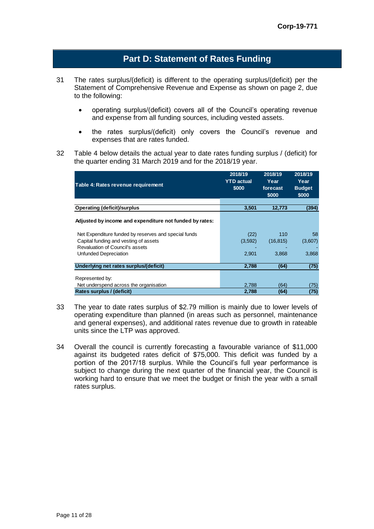## **Part D: Statement of Rates Funding**

- 31 The rates surplus/(deficit) is different to the operating surplus/(deficit) per the Statement of Comprehensive Revenue and Expense as shown on page 2, due to the following:
	- operating surplus/(deficit) covers all of the Council's operating revenue and expense from all funding sources, including vested assets.
	- the rates surplus/(deficit) only covers the Council's revenue and expenses that are rates funded.
- 32 Table 4 below details the actual year to date rates funding surplus / (deficit) for the quarter ending 31 March 2019 and for the 2018/19 year.

| Table 4: Rates revenue requirement                      | 2018/19<br><b>YTD actual</b> | 2018/19<br>Year | 2018/19<br>Year |
|---------------------------------------------------------|------------------------------|-----------------|-----------------|
|                                                         | \$000                        | forecast        | <b>Budget</b>   |
|                                                         |                              | \$000           | \$000           |
|                                                         |                              |                 |                 |
| <b>Operating (deficit)/surplus</b>                      | 3,501                        | 12,773          | (394)           |
| Adjusted by income and expenditure not funded by rates: |                              |                 |                 |
| Net Expenditure funded by reserves and special funds    | (22)                         | 110             | 58              |
| Capital funding and vesting of assets                   | (3,592)                      | (16, 815)       | (3,607)         |
| Revaluation of Council's assets                         |                              |                 |                 |
| Unfunded Depreciation                                   | 2,901                        | 3.868           | 3,868           |
| Underlying net rates surplus/(deficit)                  | 2,788                        | (64)            | (75)            |
| Represented by:                                         |                              |                 |                 |
| Net underspend across the organisation                  | 2.788                        | (64)            | (75)            |
| Rates surplus / (deficit)                               | 2,788                        | (64)            | (75)            |

- 33 The year to date rates surplus of \$2.79 million is mainly due to lower levels of operating expenditure than planned (in areas such as personnel, maintenance and general expenses), and additional rates revenue due to growth in rateable units since the LTP was approved.
- 34 Overall the council is currently forecasting a favourable variance of \$11,000 against its budgeted rates deficit of \$75,000. This deficit was funded by a portion of the 2017/18 surplus. While the Council's full year performance is subject to change during the next quarter of the financial year, the Council is working hard to ensure that we meet the budget or finish the year with a small rates surplus.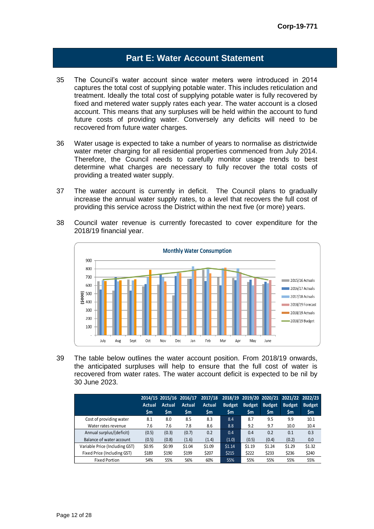## **Part E: Water Account Statement**

- 35 The Council's water account since water meters were introduced in 2014 captures the total cost of supplying potable water. This includes reticulation and treatment. Ideally the total cost of supplying potable water is fully recovered by fixed and metered water supply rates each year. The water account is a closed account. This means that any surpluses will be held within the account to fund future costs of providing water. Conversely any deficits will need to be recovered from future water charges.
- 36 Water usage is expected to take a number of years to normalise as districtwide water meter charging for all residential properties commenced from July 2014. Therefore, the Council needs to carefully monitor usage trends to best determine what charges are necessary to fully recover the total costs of providing a treated water supply.
- 37 The water account is currently in deficit. The Council plans to gradually increase the annual water supply rates, to a level that recovers the full cost of providing this service across the District within the next five (or more) years.
- 38 Council water revenue is currently forecasted to cover expenditure for the 2018/19 financial year.



39 The table below outlines the water account position. From 2018/19 onwards, the anticipated surpluses will help to ensure that the full cost of water is recovered from water rates. The water account deficit is expected to be nil by 30 June 2023.

|                                |               |               | 2014/15 2015/16 2016/17 | 2017/18 |               |               |               | 2018/19 2019/20 2020/21 2021/22 2022/23 |               |
|--------------------------------|---------------|---------------|-------------------------|---------|---------------|---------------|---------------|-----------------------------------------|---------------|
|                                | <b>Actual</b> | <b>Actual</b> | Actual                  | Actual  | <b>Budget</b> | <b>Budget</b> | <b>Budget</b> | <b>Budget</b>                           | <b>Budget</b> |
|                                | \$m           | \$m           | \$m                     | \$m     | <b>Sm</b>     | \$m           | \$m           | \$m                                     | \$m           |
| Cost of providing water        | 8.1           | 8.0           | 8.5                     | 8.3     | 8.4           | 8.7           | 9.5           | 9.9                                     | 10.1          |
| Water rates revenue            | 7.6           | 7.6           | 7.8                     | 8.6     | 8.8           | 9.2           | 9.7           | 10.0                                    | 10.4          |
| Annual surplus/(deficit)       | (0.5)         | (0.3)         | (0.7)                   | 0.2     | 0.4           | 0.4           | 0.2           | 0.1                                     | 0.3           |
| Balance of water account       | (0.5)         | (0.8)         | (1.6)                   | (1.4)   | (1.0)         | (0.5)         | (0.4)         | (0.2)                                   | 0.0           |
| Variable Price (Including GST) | \$0.95        | \$0.99        | \$1.04                  | \$1.09  | \$1.14        | \$1.19        | \$1.24        | \$1.29                                  | \$1.32        |
| Fixed Price (Including GST)    | \$189         | \$190         | \$199                   | \$207   | \$215         | \$222         | \$233         | \$236                                   | \$240         |
| <b>Fixed Portion</b>           | 54%           | 55%           | 56%                     | 60%     | 55%           | 55%           | 55%           | 55%                                     | 55%           |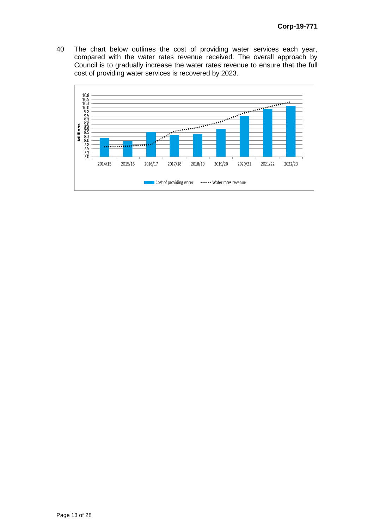40 The chart below outlines the cost of providing water services each year, compared with the water rates revenue received. The overall approach by Council is to gradually increase the water rates revenue to ensure that the full cost of providing water services is recovered by 2023.

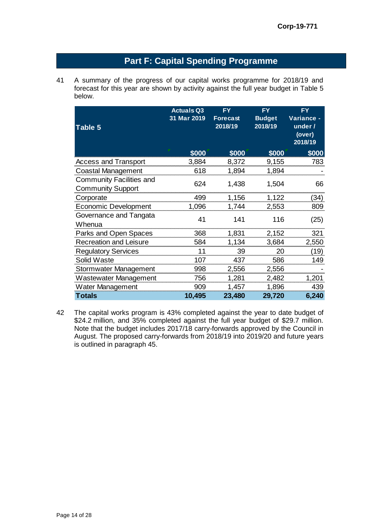# **Part F: Capital Spending Programme**

41 A summary of the progress of our capital works programme for 2018/19 and forecast for this year are shown by activity against the full year budget in Table 5 below.

| Table 5                                              | <b>Actuals Q3</b><br>31 Mar 2019 | <b>FY</b><br><b>Forecast</b><br>2018/19 | <b>FY</b><br><b>Budget</b><br>2018/19 | <b>FY</b><br>Variance -<br>under /<br>(over)<br>2018/19 |
|------------------------------------------------------|----------------------------------|-----------------------------------------|---------------------------------------|---------------------------------------------------------|
|                                                      | \$000                            | \$000                                   | \$000                                 | \$000                                                   |
| <b>Access and Transport</b>                          | 3,884                            | 8,372                                   | 9,155                                 | 783                                                     |
| <b>Coastal Management</b>                            | 618                              | 1,894                                   | 1,894                                 |                                                         |
| Community Facilities and<br><b>Community Support</b> | 624                              | 1,438                                   | 1,504                                 | 66                                                      |
| Corporate                                            | 499                              | 1,156                                   | 1,122                                 | (34)                                                    |
| <b>Economic Development</b>                          | 1,096                            | 1,744                                   | 2,553                                 | 809                                                     |
| Governance and Tangata<br>Whenua                     | 41                               | 141                                     | 116                                   | (25)                                                    |
| Parks and Open Spaces                                | 368                              | 1,831                                   | 2,152                                 | 321                                                     |
| Recreation and Leisure                               | 584                              | 1,134                                   | 3,684                                 | 2,550                                                   |
| <b>Regulatory Services</b>                           | 11                               | 39                                      | 20                                    | (19)                                                    |
| Solid Waste                                          | 107                              | 437                                     | 586                                   | 149                                                     |
| Stormwater Management                                | 998                              | 2,556                                   | 2,556                                 |                                                         |
| <b>Wastewater Management</b>                         | 756                              | 1,281                                   | 2,482                                 | 1,201                                                   |
| Water Management                                     | 909                              | 1,457                                   | 1,896                                 | 439                                                     |
| <b>Totals</b>                                        | 10,495                           | 23,480                                  | 29,720                                | 6,240                                                   |

42 The capital works program is 43% completed against the year to date budget of \$24.2 million, and 35% completed against the full year budget of \$29.7 million. Note that the budget includes 2017/18 carry-forwards approved by the Council in August. The proposed carry-forwards from 2018/19 into 2019/20 and future years is outlined in paragraph 45.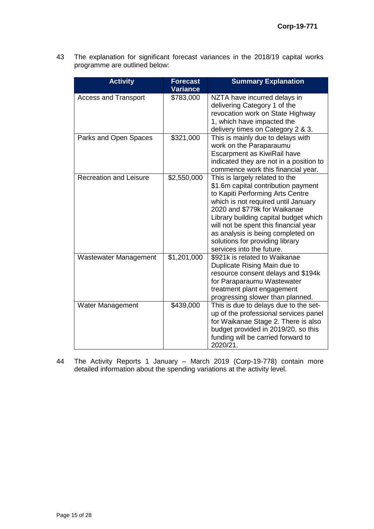43 The explanation for significant forecast variances in the 2018/19 capital works programme are outlined below:

| <b>Activity</b>               | <b>Forecast</b><br>Variance | <b>Summary Explanation</b>                                                                                                                                                                                                                                                                                                                                              |
|-------------------------------|-----------------------------|-------------------------------------------------------------------------------------------------------------------------------------------------------------------------------------------------------------------------------------------------------------------------------------------------------------------------------------------------------------------------|
| <b>Access and Transport</b>   | \$783,000                   | NZTA have incurred delays in<br>delivering Category 1 of the<br>revocation work on State Highway<br>1, which have impacted the<br>delivery times on Category 2 & 3.                                                                                                                                                                                                     |
| Parks and Open Spaces         | \$321,000                   | This is mainly due to delays with<br>work on the Paraparaumu<br>Escarpment as KiwiRail have<br>indicated they are not in a position to<br>commence work this financial year.                                                                                                                                                                                            |
| <b>Recreation and Leisure</b> | \$2,550,000                 | This is largely related to the<br>\$1.6m capital contribution payment<br>to Kapiti Performing Arts Centre<br>which is not required until January<br>2020 and \$779k for Waikanae<br>Library building capital budget which<br>will not be spent this financial year<br>as analysis is being completed on<br>solutions for providing library<br>services into the future. |
| <b>Wastewater Management</b>  | \$1,201,000                 | \$921k is related to Waikanae<br>Duplicate Rising Main due to<br>resource consent delays and \$194k<br>for Paraparaumu Wastewater<br>treatment plant engagement<br>progressing slower than planned.                                                                                                                                                                     |
| Water Management              | \$439,000                   | This is due to delays due to the set-<br>up of the professional services panel<br>for Waikanae Stage 2. There is also<br>budget provided in 2019/20, so this<br>funding will be carried forward to<br>2020/21.                                                                                                                                                          |

44 The Activity Reports 1 January – March 2019 (Corp-19-778) contain more detailed information about the spending variations at the activity level.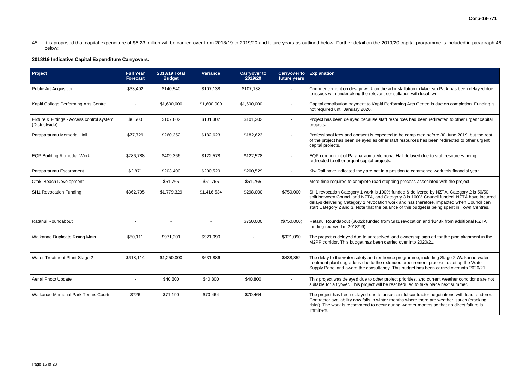stallation in Maclean Park has been delayed due Itation with local Iwi

hing Arts Centre is due on completion. Funding is

Inces had been redirected to other urgent capital

be completed before 30 June 2019, but the rest f resources has been redirected to other urgent

all delayed due to staff resources being

tion to commence work this financial year.

process associated with the project.

ded & delivered by NZTA, Category 2 is 50/50 ry 3 is 100% Council funded. NZTA have incurred and has therefore, impacted when Council can of this budget is being spent in Town Centres.

revocation and \$148k from additional NZTA

ownership sign off for the pipe alignment in the over into  $2020/21$ .

rogramme, including Stage 2 Waikanae water treatment process to set up the Water s budget has been carried over into 2020/21.

priorities, and current weather conditions are not suitable for a flace next summer.

essful contractor negotiations with lead tenderer. ths where there are weather issues (cracking rists). Warmer months so that no direct failure is

45 It is proposed that capital expenditure of \$6.23 million will be carried over from 2018/19 to 2019/20 and future years as outlined below. Further detail on the 2019/20 capital programme is included in paragraph 46 below:

#### **2018/19 Indicative Capital Expenditure Carryovers:**

| Project                                                      | <b>Full Year</b><br><b>Forecast</b> | 2018/19 Total<br><b>Budget</b> | <b>Variance</b> | <b>Carryover to</b><br>2019/20 | <b>Carryover to</b><br>future years | <b>Explanation</b>                                                                                                                                                                          |
|--------------------------------------------------------------|-------------------------------------|--------------------------------|-----------------|--------------------------------|-------------------------------------|---------------------------------------------------------------------------------------------------------------------------------------------------------------------------------------------|
| <b>Public Art Acquisition</b>                                | \$33,402                            | \$140,540                      | \$107,138       | \$107,138                      |                                     | Commencement on design work on the art ins<br>to issues with undertaking the relevant consult                                                                                               |
| Kapiti College Performing Arts Centre                        |                                     | \$1,600,000                    | \$1,600,000     | \$1,600,000                    |                                     | Capital contribution payment to Kapiti Perform<br>not required until January 2020.                                                                                                          |
| Fixture & Fittings - Access control system<br>(Districtwide) | \$6,500                             | \$107,802                      | \$101,302       | \$101,302                      |                                     | Project has been delayed because staff resou<br>projects.                                                                                                                                   |
| Paraparaumu Memorial Hall                                    | \$77,729                            | \$260,352                      | \$182,623       | \$182,623                      |                                     | Professional fees and consent is expected to I<br>of the project has been delayed as other staff<br>capital projects.                                                                       |
| <b>EQP Building Remedial Work</b>                            | \$286,788                           | \$409,366                      | \$122,578       | \$122,578                      |                                     | EQP component of Paraparaumu Memorial Ha<br>redirected to other urgent capital projects.                                                                                                    |
| Paraparaumu Escarpment                                       | \$2,871                             | \$203,400                      | \$200,529       | \$200,529                      | $\blacksquare$                      | KiwiRail have indicated they are not in a positi                                                                                                                                            |
| Otaki Beach Development                                      |                                     | \$51,765                       | \$51,765        | \$51,765                       |                                     | More time required to complete road stopping                                                                                                                                                |
| <b>SH1 Revocation Funding</b>                                | \$362,795                           | \$1,779,329                    | \$1,416,534     | \$298,000                      | \$750,000                           | SH1 revocation Category 1 work is 100% fund<br>split between Council and NZTA, and Categor<br>delays delivering Category 1 revocation work<br>start Category 2 and 3. Note that the balance |
| Ratanui Roundabout                                           |                                     |                                |                 | \$750,000                      | (\$750,000)                         | Ratanui Roundabout (\$602k funded from SH1<br>funding received in 2018/19)                                                                                                                  |
| Waikanae Duplicate Rising Main                               | \$50,111                            | \$971,201                      | \$921,090       |                                | \$921,090                           | The project is delayed due to unresolved land<br>M2PP corridor. This budget has been carried                                                                                                |
| Water Treatment Plant Stage 2                                | \$618,114                           | \$1,250,000                    | \$631,886       |                                | \$438,852                           | The delay to the water safety and resilience pi<br>treatment plant upgrade is due to the extende<br>Supply Panel and award the consultancy. This                                            |
| <b>Aerial Photo Update</b>                                   |                                     | \$40,800                       | \$40,800        | \$40,800                       |                                     | This project was delayed due to other project<br>suitable for a flyover. This project will be resch                                                                                         |
| Waikanae Memorial Park Tennis Courts                         | \$726                               | \$71,190                       | \$70,464        | \$70,464                       |                                     | The project has been delayed due to unsucce<br>Contractor availability now falls in winter mont<br>risks). The work is recommend to occur during<br>imminent.                               |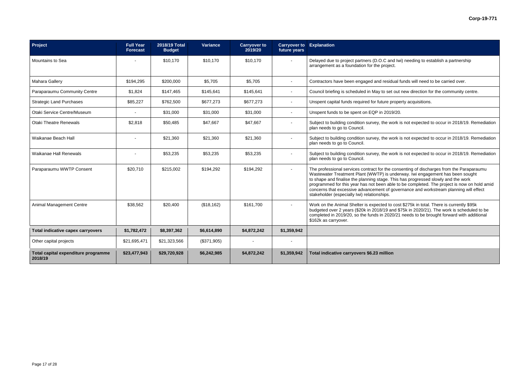k is not expected to occur in 2018/19. Remediation

k is not expected to occur in 2018/19. Remediation

k is not expected to occur in 2018/19. Remediation

nsenting of discharges from the Paraparaumu programmed for this year has not been able to be completed. The project is now on hold amid vernance and workstream planning will effect

> ost \$275k in total. There is currently \$95k 1 \$75k in 2020/21). The work is scheduled to be 21 needs to be brought forward with additional

| Project                                        | <b>Full Year</b><br><b>Forecast</b> | 2018/19 Total<br><b>Budget</b> | Variance    | <b>Carryover to</b><br>2019/20 | <b>Carryover to Explanation</b><br>future years |                                                                                                                                                                                                                                                                                                                                                                                                                                                                                       |
|------------------------------------------------|-------------------------------------|--------------------------------|-------------|--------------------------------|-------------------------------------------------|---------------------------------------------------------------------------------------------------------------------------------------------------------------------------------------------------------------------------------------------------------------------------------------------------------------------------------------------------------------------------------------------------------------------------------------------------------------------------------------|
| Mountains to Sea                               |                                     | \$10,170                       | \$10,170    | \$10,170                       |                                                 | Delayed due to project partners (D.O.C and Iwi) needing to establish a partnership<br>arrangement as a foundation for the project.                                                                                                                                                                                                                                                                                                                                                    |
| <b>Mahara Gallery</b>                          | \$194,295                           | \$200,000                      | \$5,705     | \$5,705                        | $\sim$                                          | Contractors have been engaged and residual funds will need to be carried over.                                                                                                                                                                                                                                                                                                                                                                                                        |
| Paraparaumu Community Centre                   | \$1,824                             | \$147,465                      | \$145,641   | \$145,641                      | $\sim$                                          | Council briefing is scheduled in May to set out new direction for the community centre                                                                                                                                                                                                                                                                                                                                                                                                |
| <b>Strategic Land Purchases</b>                | \$85,227                            | \$762,500                      | \$677,273   | \$677,273                      | $\sim$                                          | Unspent capital funds required for future property acquisitions.                                                                                                                                                                                                                                                                                                                                                                                                                      |
| Otaki Service Centre/Museum                    |                                     | \$31,000                       | \$31,000    | \$31,000                       |                                                 | Unspent funds to be spent on EQP in 2019/20.                                                                                                                                                                                                                                                                                                                                                                                                                                          |
| <b>Otaki Theatre Renewals</b>                  | \$2,818                             | \$50,485                       | \$47,667    | \$47,667                       | $\sim$                                          | Subject to building condition survey, the work is not expected to occur in 2018/19. Re<br>plan needs to go to Council.                                                                                                                                                                                                                                                                                                                                                                |
| Waikanae Beach Hall                            |                                     | \$21,360                       | \$21,360    | \$21,360                       | $\sim$                                          | Subject to building condition survey, the work is not expected to occur in 2018/19. Re<br>plan needs to go to Council.                                                                                                                                                                                                                                                                                                                                                                |
| <b>Waikanae Hall Renewals</b>                  |                                     | \$53,235                       | \$53,235    | \$53,235                       |                                                 | Subject to building condition survey, the work is not expected to occur in 2018/19. Re<br>plan needs to go to Council.                                                                                                                                                                                                                                                                                                                                                                |
| Paraparaumu WWTP Consent                       | \$20,710                            | \$215,002                      | \$194,292   | \$194,292                      |                                                 | The professional services contract for the consenting of discharges from the Parapara<br>Wastewater Treatment Plant (WWTP) is underway. Iwi engagement has been sought<br>to shape and finalise the planning stage. This has progressed slowly and the work<br>programmed for this year has not been able to be completed. The project is now on h<br>concerns that excessive advancement of governance and workstream planning will e<br>stakeholder (especially Iwi) relationships. |
| Animal Management Centre                       | \$38,562                            | \$20,400                       | (\$18,162)  | \$161,700                      |                                                 | Work on the Animal Shelter is expected to cost \$275k in total. There is currently \$95k<br>budgeted over 2 years (\$20k in 2018/19 and \$75k in 2020/21). The work is scheduled<br>completed in 2019/20, so the funds in 2020/21 needs to be brought forward with addi<br>\$162k as carryover.                                                                                                                                                                                       |
| Total indicative capex carryovers              | \$1,782,472                         | \$8,397,362                    | \$6,614,890 | \$4,872,242                    | \$1,359,942                                     |                                                                                                                                                                                                                                                                                                                                                                                                                                                                                       |
| Other capital projects                         | \$21,695,471                        | \$21,323,566                   | (\$371,905) |                                |                                                 |                                                                                                                                                                                                                                                                                                                                                                                                                                                                                       |
| Total capital expenditure programme<br>2018/19 | \$23,477,943                        | \$29,720,928                   | \$6,242,985 | \$4,872,242                    | \$1,359,942                                     | Total indicative carryovers \$6.23 million                                                                                                                                                                                                                                                                                                                                                                                                                                            |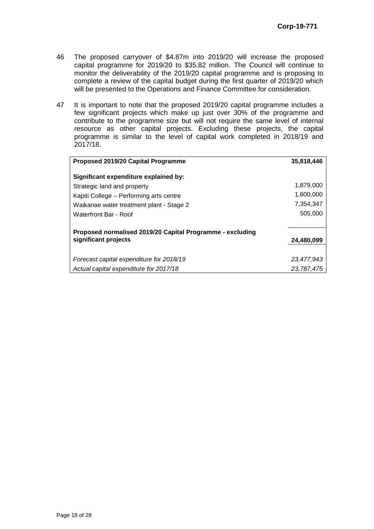- 46 The proposed carryover of \$4.87m into 2019/20 will increase the proposed capital programme for 2019/20 to \$35.82 million. The Council will continue to monitor the deliverability of the 2019/20 capital programme and is proposing to complete a review of the capital budget during the first quarter of 2019/20 which will be presented to the Operations and Finance Committee for consideration.
- 47 It is important to note that the proposed 2019/20 capital programme includes a few significant projects which make up just over 30% of the programme and contribute to the programme size but will not require the same level of internal resource as other capital projects. Excluding these projects, the capital programme is similar to the level of capital work completed in 2018/19 and 2017/18.

| Proposed 2019/20 Capital Programme                                                | 35,818,446 |
|-----------------------------------------------------------------------------------|------------|
| Significant expenditure explained by:                                             |            |
| Strategic land and property                                                       | 1,879,000  |
| Kapiti College – Performing arts centre                                           | 1,600,000  |
| Waikanae water treatment plant - Stage 2                                          | 7,354,347  |
| Waterfront Bar - Roof                                                             | 505,000    |
| Proposed normalised 2019/20 Capital Programme - excluding<br>significant projects | 24,480,099 |
|                                                                                   |            |
| Forecast capital expenditure for 2018/19                                          | 23,477,943 |
| Actual capital expenditure for 2017/18                                            | 23.787.475 |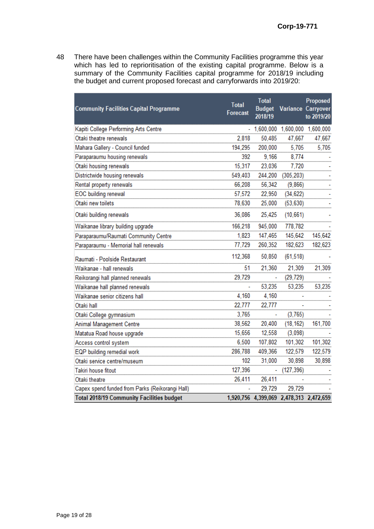48 There have been challenges within the Community Facilities programme this year which has led to reprioritisation of the existing capital programme. Below is a summary of the Community Facilities capital programme for 2018/19 including the budget and current proposed forecast and carryforwards into 2019/20:

| <b>Community Facilities Capital Programme</b>    | <b>Total</b><br>Forecast | <b>Total</b><br>2018/19 |                   | Proposed<br><b>Budget Variance Carryover</b><br>to 2019/20 |
|--------------------------------------------------|--------------------------|-------------------------|-------------------|------------------------------------------------------------|
| Kapiti College Performing Arts Centre            |                          |                         |                   | 1,600,000 1,600,000 1,600,000                              |
| Otaki theatre renewals                           | 2.818                    | 50.485                  | 47,667            | 47,667                                                     |
| Mahara Gallery - Council funded                  | 194,295                  | 200,000                 | 5,705             | 5,705                                                      |
| Paraparaumu housing renewals                     | 392                      | 9,166                   | 8,774             |                                                            |
| Otaki housing renewals                           | 15,317                   | 23,036                  | 7,720             |                                                            |
| Districtwide housing renewals                    | 549,403                  |                         | 244,200 (305,203) |                                                            |
| Rental property renewals                         | 66,208                   | 56,342                  | (9,866)           |                                                            |
| EOC building renewal                             | 57,572                   | 22,950                  | (34, 622)         |                                                            |
| Otaki new toilets                                | 78,630                   | 25,000                  | (53, 630)         |                                                            |
| Otaki building renewals                          | 36,086                   | 25,425                  | (10, 661)         |                                                            |
| Waikanae library building upgrade                | 166,218                  | 945,000                 | 778,782           |                                                            |
| Paraparaumu/Raumati Community Centre             | 1,823                    | 147,465                 | 145,642           | 145,642                                                    |
| Paraparaumu - Memorial hall renewals             | 77,729                   | 260,352                 | 182,623           | 182,623                                                    |
| Raumati - Poolside Restaurant                    | 112,368                  | 50,850                  | (61, 518)         |                                                            |
| Waikanae - hall renewals                         | 51                       | 21,360                  | 21,309            | 21,309                                                     |
| Reikorangi hall planned renewals                 | 29,729                   |                         | (29, 729)         |                                                            |
| Waikanae hall planned renewals                   |                          | 53,235                  | 53,235            | 53,235                                                     |
| Waikanae senior citizens hall                    | 4,160                    | 4,160                   |                   |                                                            |
| Otaki hall                                       | 22,777                   | 22,777                  |                   |                                                            |
| Otaki College gymnasium                          | 3,765                    |                         | (3,765)           |                                                            |
| Animal Management Centre                         | 38,562                   | 20,400                  | (18, 162)         | 161,700                                                    |
| Matatua Road house upgrade                       | 15,656                   | 12,558                  | (3,098)           |                                                            |
| Access control system                            | 6,500                    | 107,802                 | 101,302           | 101,302                                                    |
| EQP building remedial work                       | 286,788                  | 409,366                 | 122,579           | 122,579                                                    |
| Otaki service centre/museum                      | 102                      | 31,000                  | 30,898            | 30,898                                                     |
| Takiri house fitout                              | 127,396                  |                         | (127, 396)        |                                                            |
| Otaki theatre                                    | 26,411                   | 26,411                  |                   |                                                            |
| Capex spend funded from Parks (Reikorangi Hall)  |                          | 29,729                  | 29,729            |                                                            |
| <b>Total 2018/19 Community Facilities budget</b> |                          |                         |                   | 1,920,756 4,399,069 2,478,313 2,472,659                    |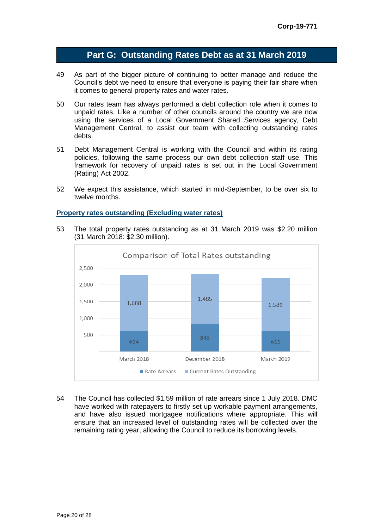## **Part G: Outstanding Rates Debt as at 31 March 2019**

- 49 As part of the bigger picture of continuing to better manage and reduce the Council's debt we need to ensure that everyone is paying their fair share when it comes to general property rates and water rates.
- 50 Our rates team has always performed a debt collection role when it comes to unpaid rates. Like a number of other councils around the country we are now using the services of a Local Government Shared Services agency, Debt Management Central, to assist our team with collecting outstanding rates debts.
- 51 Debt Management Central is working with the Council and within its rating policies, following the same process our own debt collection staff use. This framework for recovery of unpaid rates is set out in the Local Government (Rating) Act 2002.
- 52 We expect this assistance, which started in mid-September, to be over six to twelve months.

#### **Property rates outstanding (Excluding water rates)**

53 The total property rates outstanding as at 31 March 2019 was \$2.20 million (31 March 2018: \$2.30 million).



54 The Council has collected \$1.59 million of rate arrears since 1 July 2018. DMC have worked with ratepayers to firstly set up workable payment arrangements, and have also issued mortgagee notifications where appropriate. This will ensure that an increased level of outstanding rates will be collected over the remaining rating year, allowing the Council to reduce its borrowing levels.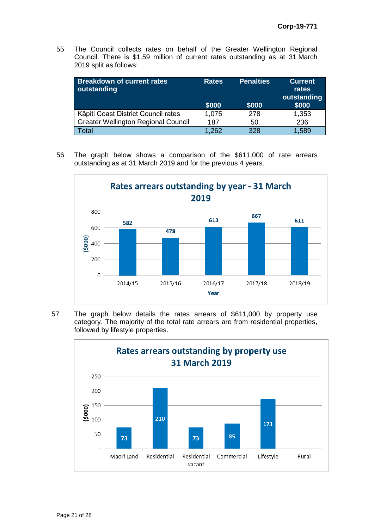55 The Council collects rates on behalf of the Greater Wellington Regional Council. There is \$1.59 million of current rates outstanding as at 31 March 2019 split as follows:

| <b>Breakdown of current rates</b><br>outstanding | <b>Rates</b><br>\$000 | <b>Penalties</b><br>\$000 | <b>Current</b><br>rates<br>outstanding<br>\$000 |
|--------------------------------------------------|-----------------------|---------------------------|-------------------------------------------------|
| Kāpiti Coast District Council rates              | 1,075                 | 278                       | 1,353                                           |
| <b>Greater Wellington Regional Council</b>       | 187                   | 50                        | 236                                             |
| Гоtal                                            | 1,262                 | 328                       | 1,589                                           |

56 The graph below shows a comparison of the \$611,000 of rate arrears outstanding as at 31 March 2019 and for the previous 4 years.



57 The graph below details the rates arrears of \$611,000 by property use category. The majority of the total rate arrears are from residential properties, followed by lifestyle properties.

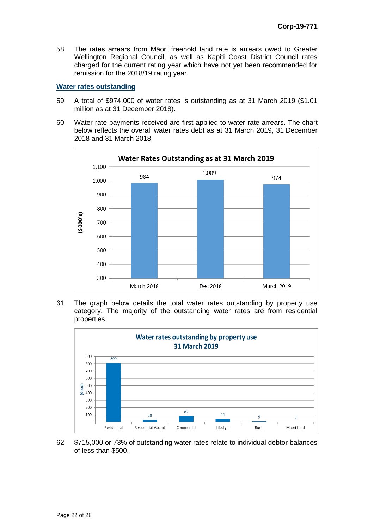58 The rates arrears from Māori freehold land rate is arrears owed to Greater Wellington Regional Council, as well as Kapiti Coast District Council rates charged for the current rating year which have not yet been recommended for remission for the 2018/19 rating year.

#### **Water rates outstanding**

- 59 A total of \$974,000 of water rates is outstanding as at 31 March 2019 (\$1.01 million as at 31 December 2018).
- 60 Water rate payments received are first applied to water rate arrears. The chart below reflects the overall water rates debt as at 31 March 2019, 31 December 2018 and 31 March 2018;



61 The graph below details the total water rates outstanding by property use category. The majority of the outstanding water rates are from residential properties.



62 \$715,000 or 73% of outstanding water rates relate to individual debtor balances of less than \$500.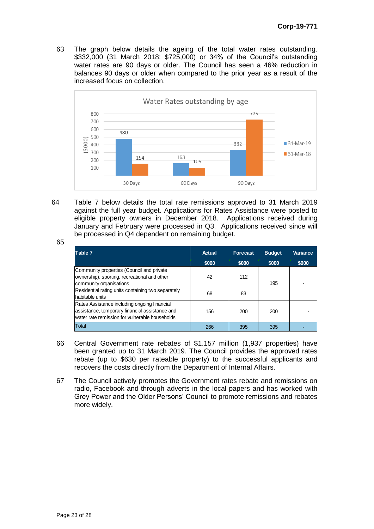63 The graph below details the ageing of the total water rates outstanding. \$332,000 (31 March 2018: \$725,000) or 34% of the Council's outstanding water rates are 90 days or older. The Council has seen a 46% reduction in balances 90 days or older when compared to the prior year as a result of the increased focus on collection.



64 Table 7 below details the total rate remissions approved to 31 March 2019 against the full year budget. Applications for Rates Assistance were posted to eligible property owners in December 2018. Applications received during January and February were processed in Q3. Applications received since will be processed in Q4 dependent on remaining budget.

| Table 7                                                                                                                                          | Actual | <b>Forecast</b> | <b>Budget</b> | Variance |
|--------------------------------------------------------------------------------------------------------------------------------------------------|--------|-----------------|---------------|----------|
|                                                                                                                                                  | \$000  | \$000           | \$000         | \$000    |
| Community properties (Council and private<br>ownership), sporting, recreational and other<br>community organisations                             | 42     | 112             | 195           |          |
| Residential rating units containing two separately<br>habitable units                                                                            | 68     | 83              |               |          |
| Rates Assistance including ongoing financial<br>assistance, temporary financial assistance and<br>water rate remission for vulnerable households | 156    | 200             | 200           |          |
| Total                                                                                                                                            | 266    | 395             | 395           |          |

- 66 Central Government rate rebates of \$1.157 million (1,937 properties) have been granted up to 31 March 2019. The Council provides the approved rates rebate (up to \$630 per rateable property) to the successful applicants and recovers the costs directly from the Department of Internal Affairs.
- 67 The Council actively promotes the Government rates rebate and remissions on radio, Facebook and through adverts in the local papers and has worked with Grey Power and the Older Persons' Council to promote remissions and rebates more widely.

65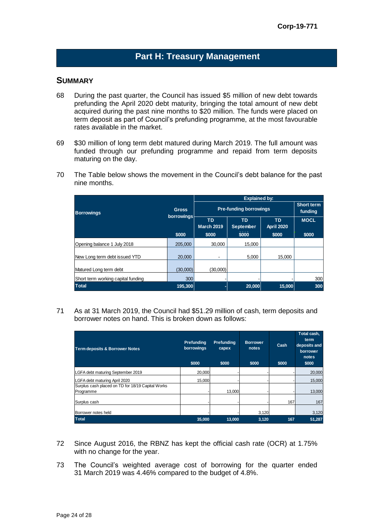# **Part H: Treasury Management**

## **SUMMARY**

- 68 During the past quarter, the Council has issued \$5 million of new debt towards prefunding the April 2020 debt maturity, bringing the total amount of new debt acquired during the past nine months to \$20 million. The funds were placed on term deposit as part of Council's prefunding programme, at the most favourable rates available in the market.
- 69 \$30 million of long term debt matured during March 2019. The full amount was funded through our prefunding programme and repaid from term deposits maturing on the day.
- 70 The Table below shows the movement in the Council's debt balance for the past nine months.

|                                    |                            | <b>Explained by:</b>          |                              |                                |             |  |  |
|------------------------------------|----------------------------|-------------------------------|------------------------------|--------------------------------|-------------|--|--|
| <b>Borrowings</b>                  | <b>Gross</b><br>borrowings | <b>Pre-funding borrowings</b> | <b>Short term</b><br>funding |                                |             |  |  |
|                                    |                            | TD<br><b>March 2019</b>       | TD<br><b>September</b>       | <b>TD</b><br><b>April 2020</b> | <b>MOCL</b> |  |  |
|                                    | \$000                      | \$000                         | \$000                        | \$000                          | \$000       |  |  |
| Opening balance 1 July 2018        | 205.000                    | 30.000                        | 15.000                       |                                |             |  |  |
| New Long term debt issued YTD      | 20,000                     | ۰                             | 5,000                        | 15,000                         |             |  |  |
| Matured Long term debt             | (30,000)                   | (30,000)                      |                              |                                |             |  |  |
| Short term working capital funding | 300                        |                               |                              |                                | 300         |  |  |
| <b>Total</b>                       | 195,300                    |                               | 20,000                       | 15,000                         | 300         |  |  |

71 As at 31 March 2019, the Council had \$51.29 million of cash, term deposits and borrower notes on hand. This is broken down as follows:

| <b>Term deposits &amp; Borrower Notes</b>                      | Prefunding<br>borrowings<br>\$000 | Prefunding<br>capex<br>\$000 | <b>Borrower</b><br>notes<br>\$000 | Cash<br>\$000 | Total cash,<br>term<br>deposits and<br>borrower<br>notes<br>\$000 |
|----------------------------------------------------------------|-----------------------------------|------------------------------|-----------------------------------|---------------|-------------------------------------------------------------------|
| LGFA debt maturing September 2019                              | 20,000                            |                              |                                   |               | 20,000                                                            |
| LGFA debt maturing April 2020                                  | 15.000                            |                              |                                   |               | 15,000                                                            |
| Surplus cash placed on TD for 18/19 Capital Works<br>Programme |                                   | 13.000                       |                                   |               | 13,000                                                            |
| Surplus cash                                                   |                                   |                              |                                   | 167           | 167                                                               |
| Borrower notes held                                            |                                   |                              | 3,120                             |               | 3,120                                                             |
| <b>Total</b>                                                   | 35,000                            | 13,000                       | 3,120                             | 167           | 51,287                                                            |

- 72 Since August 2016, the RBNZ has kept the official cash rate (OCR) at 1.75% with no change for the year.
- 73 The Council's weighted average cost of borrowing for the quarter ended 31 March 2019 was 4.46% compared to the budget of 4.8%.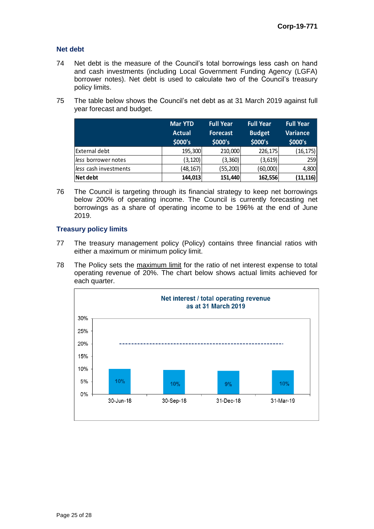#### **Net debt**

- 74 Net debt is the measure of the Council's total borrowings less cash on hand and cash investments (including Local Government Funding Agency (LGFA) borrower notes). Net debt is used to calculate two of the Council's treasury policy limits.
- 75 The table below shows the Council's net debt as at 31 March 2019 against full year forecast and budget.

|                       | <b>Mar YTD</b><br><b>Actual</b><br>\$000's | <b>Full Year</b><br><b>Forecast</b><br>\$000's | <b>Full Year</b><br><b>Budget</b><br>\$000's | <b>Full Year</b><br><b>Variance</b><br>\$000's |
|-----------------------|--------------------------------------------|------------------------------------------------|----------------------------------------------|------------------------------------------------|
| External debt         | 195,300                                    | 210,000                                        | 226,175                                      | (16, 175)                                      |
| less borrower notes   | (3, 120)                                   | (3, 360)                                       | (3,619)                                      | 259                                            |
| less cash investments | (48,167)                                   | (55, 200)                                      | (60,000)                                     | 4,800                                          |
| Net debt              | 144,013                                    | 151,440                                        | 162,556                                      | (11, 116)                                      |

76 The Council is targeting through its financial strategy to keep net borrowings below 200% of operating income. The Council is currently forecasting net borrowings as a share of operating income to be 196% at the end of June 2019.

## **Treasury policy limits**

- 77 The treasury management policy (Policy) contains three financial ratios with either a maximum or minimum policy limit.
- 78 The Policy sets the maximum limit for the ratio of net interest expense to total operating revenue of 20%. The chart below shows actual limits achieved for each quarter.

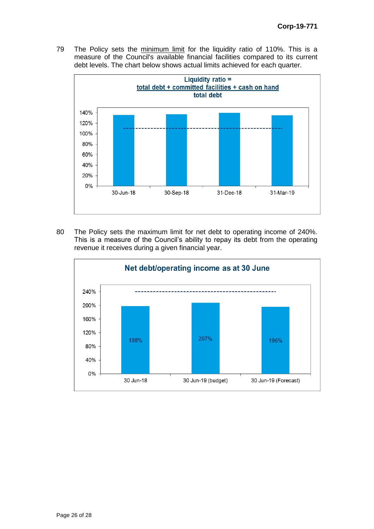79 The Policy sets the minimum limit for the liquidity ratio of 110%. This is a measure of the Council's available financial facilities compared to its current debt levels. The chart below shows actual limits achieved for each quarter.



80 The Policy sets the maximum limit for net debt to operating income of 240%. This is a measure of the Council's ability to repay its debt from the operating revenue it receives during a given financial year.

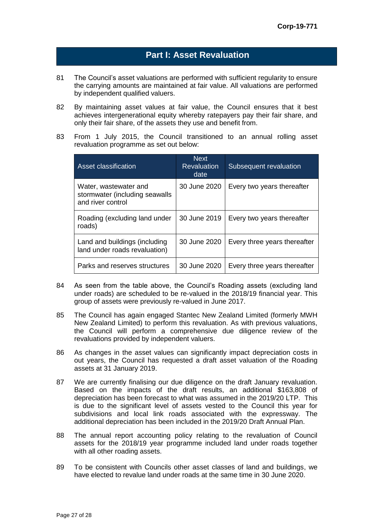## **Part I: Asset Revaluation**

- 81 The Council's asset valuations are performed with sufficient regularity to ensure the carrying amounts are maintained at fair value. All valuations are performed by independent qualified valuers.
- 82 By maintaining asset values at fair value, the Council ensures that it best achieves intergenerational equity whereby ratepayers pay their fair share, and only their fair share, of the assets they use and benefit from.
- 83 From 1 July 2015, the Council transitioned to an annual rolling asset revaluation programme as set out below:

| Asset classification                                                         | <b>Next</b><br><b>Revaluation</b><br>date | Subsequent revaluation       |
|------------------------------------------------------------------------------|-------------------------------------------|------------------------------|
| Water, wastewater and<br>stormwater (including seawalls<br>and river control | 30 June 2020                              | Every two years thereafter   |
| Roading (excluding land under<br>roads)                                      | 30 June 2019                              | Every two years thereafter   |
| Land and buildings (including<br>land under roads revaluation)               | 30 June 2020                              | Every three years thereafter |
| Parks and reserves structures                                                | 30 June 2020                              | Every three years thereafter |

- 84 As seen from the table above, the Council's Roading assets (excluding land under roads) are scheduled to be re-valued in the 2018/19 financial year. This group of assets were previously re-valued in June 2017.
- 85 The Council has again engaged Stantec New Zealand Limited (formerly MWH New Zealand Limited) to perform this revaluation. As with previous valuations, the Council will perform a comprehensive due diligence review of the revaluations provided by independent valuers.
- 86 As changes in the asset values can significantly impact depreciation costs in out years, the Council has requested a draft asset valuation of the Roading assets at 31 January 2019.
- 87 We are currently finalising our due diligence on the draft January revaluation. Based on the impacts of the draft results, an additional \$163,808 of depreciation has been forecast to what was assumed in the 2019/20 LTP. This is due to the significant level of assets vested to the Council this year for subdivisions and local link roads associated with the expressway. The additional depreciation has been included in the 2019/20 Draft Annual Plan.
- 88 The annual report accounting policy relating to the revaluation of Council assets for the 2018/19 year programme included land under roads together with all other roading assets.
- 89 To be consistent with Councils other asset classes of land and buildings, we have elected to revalue land under roads at the same time in 30 June 2020.